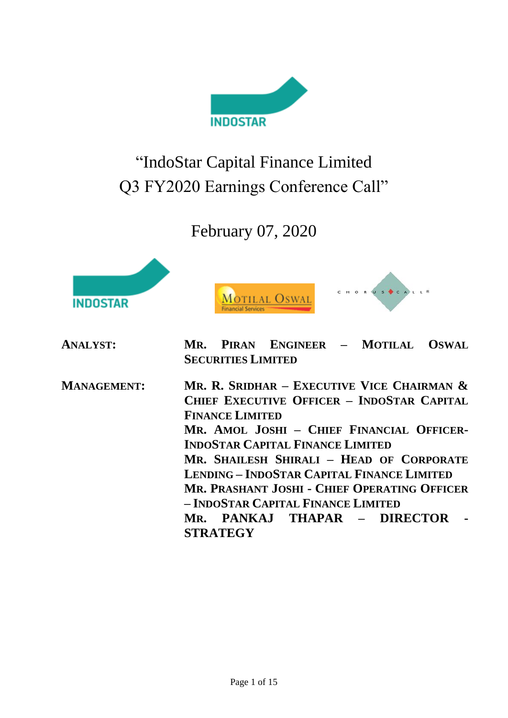

# "IndoStar Capital Finance Limited Q3 FY2020 Earnings Conference Call"

## February 07, 2020







| <b>ANALYST:</b>    | PIRAN ENGINEER - MOTILAL OSWAL<br>MR.<br><b>SECURITIES LIMITED</b>                                                                                                                                                                                                                                                                                                                                                                                             |
|--------------------|----------------------------------------------------------------------------------------------------------------------------------------------------------------------------------------------------------------------------------------------------------------------------------------------------------------------------------------------------------------------------------------------------------------------------------------------------------------|
| <b>MANAGEMENT:</b> | MR. R. SRIDHAR - EXECUTIVE VICE CHAIRMAN $\&$<br><b>CHIEF EXECUTIVE OFFICER - INDOSTAR CAPITAL</b><br><b>FINANCE LIMITED</b><br>MR. AMOL JOSHI - CHIEF FINANCIAL OFFICER-<br><b>INDOSTAR CAPITAL FINANCE LIMITED</b><br>MR. SHAILESH SHIRALI - HEAD OF CORPORATE<br><b>LENDING - INDOSTAR CAPITAL FINANCE LIMITED</b><br>MR. PRASHANT JOSHI - CHIEF OPERATING OFFICER<br>- INDOSTAR CAPITAL FINANCE LIMITED<br>MR. PANKAJ THAPAR – DIRECTOR<br><b>STRATEGY</b> |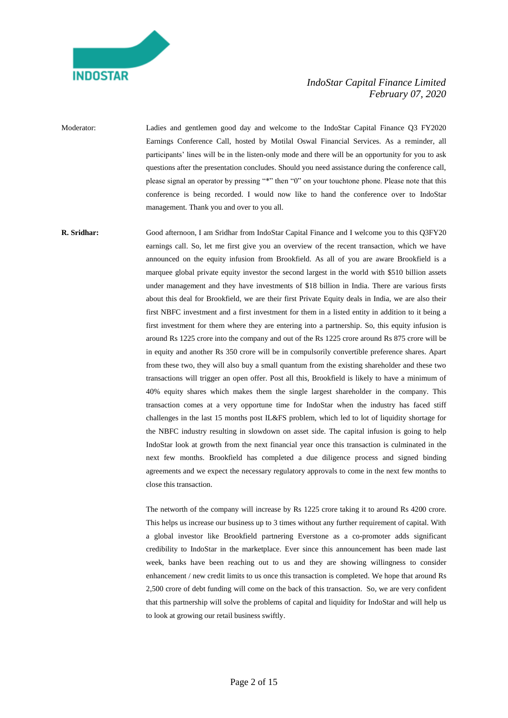

Moderator: Ladies and gentlemen good day and welcome to the IndoStar Capital Finance Q3 FY2020 Earnings Conference Call, hosted by Motilal Oswal Financial Services. As a reminder, all participants' lines will be in the listen-only mode and there will be an opportunity for you to ask questions after the presentation concludes. Should you need assistance during the conference call, please signal an operator by pressing "\*" then "0" on your touchtone phone. Please note that this conference is being recorded. I would now like to hand the conference over to IndoStar management. Thank you and over to you all.

**R. Sridhar:** Good afternoon, I am Sridhar from IndoStar Capital Finance and I welcome you to this Q3FY20 earnings call. So, let me first give you an overview of the recent transaction, which we have announced on the equity infusion from Brookfield. As all of you are aware Brookfield is a marquee global private equity investor the second largest in the world with \$510 billion assets under management and they have investments of \$18 billion in India. There are various firsts about this deal for Brookfield, we are their first Private Equity deals in India, we are also their first NBFC investment and a first investment for them in a listed entity in addition to it being a first investment for them where they are entering into a partnership. So, this equity infusion is around Rs 1225 crore into the company and out of the Rs 1225 crore around Rs 875 crore will be in equity and another Rs 350 crore will be in compulsorily convertible preference shares. Apart from these two, they will also buy a small quantum from the existing shareholder and these two transactions will trigger an open offer. Post all this, Brookfield is likely to have a minimum of 40% equity shares which makes them the single largest shareholder in the company. This transaction comes at a very opportune time for IndoStar when the industry has faced stiff challenges in the last 15 months post IL&FS problem, which led to lot of liquidity shortage for the NBFC industry resulting in slowdown on asset side. The capital infusion is going to help IndoStar look at growth from the next financial year once this transaction is culminated in the next few months. Brookfield has completed a due diligence process and signed binding agreements and we expect the necessary regulatory approvals to come in the next few months to close this transaction.

> The networth of the company will increase by Rs 1225 crore taking it to around Rs 4200 crore. This helps us increase our business up to 3 times without any further requirement of capital. With a global investor like Brookfield partnering Everstone as a co-promoter adds significant credibility to IndoStar in the marketplace. Ever since this announcement has been made last week, banks have been reaching out to us and they are showing willingness to consider enhancement / new credit limits to us once this transaction is completed. We hope that around Rs 2,500 crore of debt funding will come on the back of this transaction. So, we are very confident that this partnership will solve the problems of capital and liquidity for IndoStar and will help us to look at growing our retail business swiftly.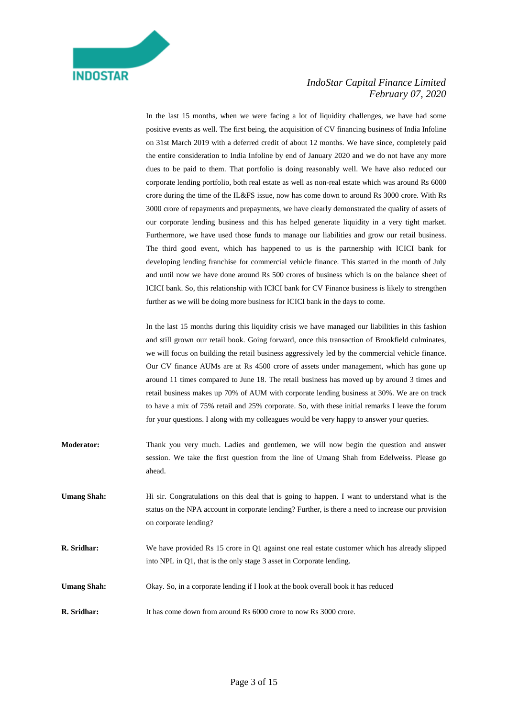In the last 15 months, when we were facing a lot of liquidity challenges, we have had some positive events as well. The first being, the acquisition of CV financing business of India Infoline on 31st March 2019 with a deferred credit of about 12 months. We have since, completely paid the entire consideration to India Infoline by end of January 2020 and we do not have any more dues to be paid to them. That portfolio is doing reasonably well. We have also reduced our corporate lending portfolio, both real estate as well as non-real estate which was around Rs 6000 crore during the time of the IL&FS issue, now has come down to around Rs 3000 crore. With Rs 3000 crore of repayments and prepayments, we have clearly demonstrated the quality of assets of our corporate lending business and this has helped generate liquidity in a very tight market. Furthermore, we have used those funds to manage our liabilities and grow our retail business. The third good event, which has happened to us is the partnership with ICICI bank for developing lending franchise for commercial vehicle finance. This started in the month of July and until now we have done around Rs 500 crores of business which is on the balance sheet of ICICI bank. So, this relationship with ICICI bank for CV Finance business is likely to strengthen further as we will be doing more business for ICICI bank in the days to come.

In the last 15 months during this liquidity crisis we have managed our liabilities in this fashion and still grown our retail book. Going forward, once this transaction of Brookfield culminates, we will focus on building the retail business aggressively led by the commercial vehicle finance. Our CV finance AUMs are at Rs 4500 crore of assets under management, which has gone up around 11 times compared to June 18. The retail business has moved up by around 3 times and retail business makes up 70% of AUM with corporate lending business at 30%. We are on track to have a mix of 75% retail and 25% corporate. So, with these initial remarks I leave the forum for your questions. I along with my colleagues would be very happy to answer your queries.

- **Moderator:** Thank you very much. Ladies and gentlemen, we will now begin the question and answer session. We take the first question from the line of Umang Shah from Edelweiss. Please go ahead.
- Umang Shah: Hi sir. Congratulations on this deal that is going to happen. I want to understand what is the status on the NPA account in corporate lending? Further, is there a need to increase our provision on corporate lending?
- **R. Sridhar:** We have provided Rs 15 crore in Q1 against one real estate customer which has already slipped into NPL in Q1, that is the only stage 3 asset in Corporate lending.
- **Umang Shah:** Okay. So, in a corporate lending if I look at the book overall book it has reduced
- **R. Sridhar:** It has come down from around Rs 6000 crore to now Rs 3000 crore.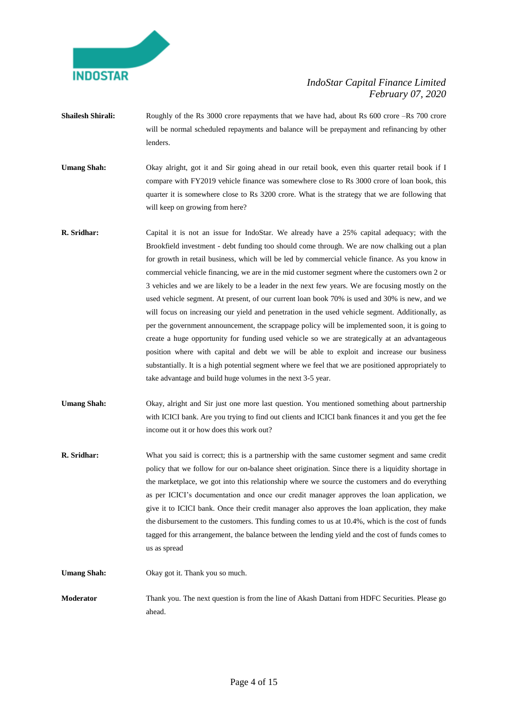

- **Shailesh Shirali:** Roughly of the Rs 3000 crore repayments that we have had, about Rs 600 crore –Rs 700 crore will be normal scheduled repayments and balance will be prepayment and refinancing by other lenders.
- **Umang Shah:** Okay alright, got it and Sir going ahead in our retail book, even this quarter retail book if I compare with FY2019 vehicle finance was somewhere close to Rs 3000 crore of loan book, this quarter it is somewhere close to Rs 3200 crore. What is the strategy that we are following that will keep on growing from here?
- **R. Sridhar:** Capital it is not an issue for IndoStar. We already have a 25% capital adequacy; with the Brookfield investment - debt funding too should come through. We are now chalking out a plan for growth in retail business, which will be led by commercial vehicle finance. As you know in commercial vehicle financing, we are in the mid customer segment where the customers own 2 or 3 vehicles and we are likely to be a leader in the next few years. We are focusing mostly on the used vehicle segment. At present, of our current loan book 70% is used and 30% is new, and we will focus on increasing our yield and penetration in the used vehicle segment. Additionally, as per the government announcement, the scrappage policy will be implemented soon, it is going to create a huge opportunity for funding used vehicle so we are strategically at an advantageous position where with capital and debt we will be able to exploit and increase our business substantially. It is a high potential segment where we feel that we are positioned appropriately to take advantage and build huge volumes in the next 3-5 year.
- **Umang Shah:** Okay, alright and Sir just one more last question. You mentioned something about partnership with ICICI bank. Are you trying to find out clients and ICICI bank finances it and you get the fee income out it or how does this work out?
- **R. Sridhar:** What you said is correct; this is a partnership with the same customer segment and same credit policy that we follow for our on-balance sheet origination. Since there is a liquidity shortage in the marketplace, we got into this relationship where we source the customers and do everything as per ICICI's documentation and once our credit manager approves the loan application, we give it to ICICI bank. Once their credit manager also approves the loan application, they make the disbursement to the customers. This funding comes to us at 10.4%, which is the cost of funds tagged for this arrangement, the balance between the lending yield and the cost of funds comes to us as spread

**Umang Shah:** Okay got it. Thank you so much.

**Moderator** Thank you. The next question is from the line of Akash Dattani from HDFC Securities. Please go ahead.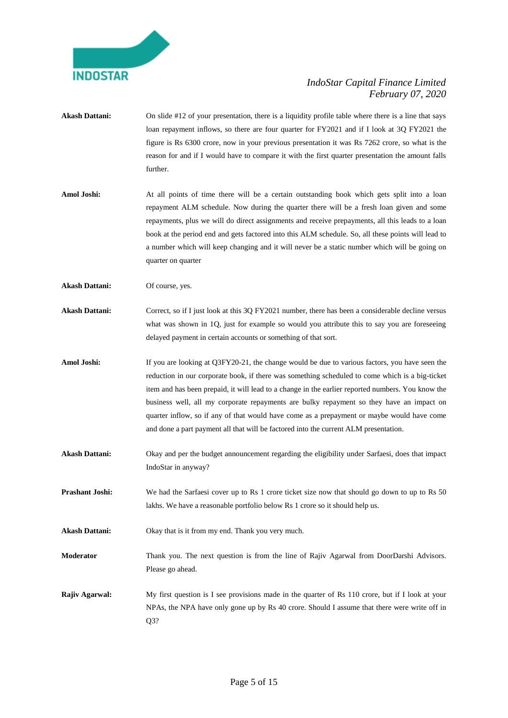

- Akash Dattani: On slide #12 of your presentation, there is a liquidity profile table where there is a line that says loan repayment inflows, so there are four quarter for FY2021 and if I look at 3Q FY2021 the figure is Rs 6300 crore, now in your previous presentation it was Rs 7262 crore, so what is the reason for and if I would have to compare it with the first quarter presentation the amount falls further. **Amol Joshi:** At all points of time there will be a certain outstanding book which gets split into a loan repayment ALM schedule. Now during the quarter there will be a fresh loan given and some repayments, plus we will do direct assignments and receive prepayments, all this leads to a loan
	- book at the period end and gets factored into this ALM schedule. So, all these points will lead to a number which will keep changing and it will never be a static number which will be going on quarter on quarter

**Akash Dattani:** Of course, yes.

- Akash Dattani: Correct, so if I just look at this 3Q FY2021 number, there has been a considerable decline versus what was shown in 1Q, just for example so would you attribute this to say you are foreseeing delayed payment in certain accounts or something of that sort.
- Amol Joshi: If you are looking at Q3FY20-21, the change would be due to various factors, you have seen the reduction in our corporate book, if there was something scheduled to come which is a big-ticket item and has been prepaid, it will lead to a change in the earlier reported numbers. You know the business well, all my corporate repayments are bulky repayment so they have an impact on quarter inflow, so if any of that would have come as a prepayment or maybe would have come and done a part payment all that will be factored into the current ALM presentation.
- **Akash Dattani:** Okay and per the budget announcement regarding the eligibility under Sarfaesi, does that impact IndoStar in anyway?
- **Prashant Joshi:** We had the Sarfaesi cover up to Rs 1 crore ticket size now that should go down to up to Rs 50 lakhs. We have a reasonable portfolio below Rs 1 crore so it should help us.

**Akash Dattani:** Okay that is it from my end. Thank you very much.

- **Moderator** Thank you. The next question is from the line of Rajiv Agarwal from DoorDarshi Advisors. Please go ahead.
- **Rajiv Agarwal:** My first question is I see provisions made in the quarter of Rs 110 crore, but if I look at your NPAs, the NPA have only gone up by Rs 40 crore. Should I assume that there were write off in Q3?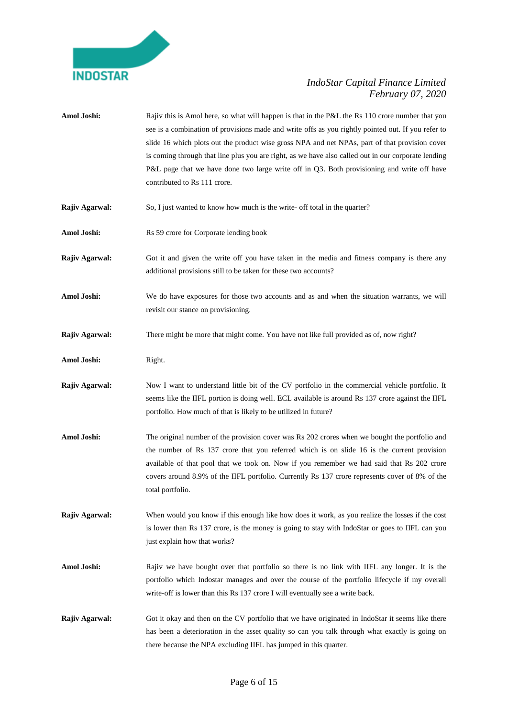

Amol Joshi: Rajiv this is Amol here, so what will happen is that in the P&L the Rs 110 crore number that you see is a combination of provisions made and write offs as you rightly pointed out. If you refer to slide 16 which plots out the product wise gross NPA and net NPAs, part of that provision cover is coming through that line plus you are right, as we have also called out in our corporate lending P&L page that we have done two large write off in Q3. Both provisioning and write off have contributed to Rs 111 crore. **Rajiv Agarwal:** So, I just wanted to know how much is the write- off total in the quarter? Amol Joshi: Rs 59 crore for Corporate lending book **Rajiv Agarwal:** Got it and given the write off you have taken in the media and fitness company is there any additional provisions still to be taken for these two accounts? Amol Joshi: We do have exposures for those two accounts and as and when the situation warrants, we will revisit our stance on provisioning. **Rajiv Agarwal:** There might be more that might come. You have not like full provided as of, now right? **Amol Joshi:** Right. **Rajiv Agarwal:** Now I want to understand little bit of the CV portfolio in the commercial vehicle portfolio. It seems like the IIFL portion is doing well. ECL available is around Rs 137 crore against the IIFL portfolio. How much of that is likely to be utilized in future? Amol Joshi: The original number of the provision cover was Rs 202 crores when we bought the portfolio and the number of Rs 137 crore that you referred which is on slide 16 is the current provision available of that pool that we took on. Now if you remember we had said that Rs 202 crore covers around 8.9% of the IIFL portfolio. Currently Rs 137 crore represents cover of 8% of the total portfolio. **Rajiv Agarwal:** When would you know if this enough like how does it work, as you realize the losses if the cost is lower than Rs 137 crore, is the money is going to stay with IndoStar or goes to IIFL can you just explain how that works? Amol Joshi: Rajiv we have bought over that portfolio so there is no link with IIFL any longer. It is the portfolio which Indostar manages and over the course of the portfolio lifecycle if my overall write-off is lower than this Rs 137 crore I will eventually see a write back. **Rajiv Agarwal:** Got it okay and then on the CV portfolio that we have originated in IndoStar it seems like there has been a deterioration in the asset quality so can you talk through what exactly is going on there because the NPA excluding IIFL has jumped in this quarter.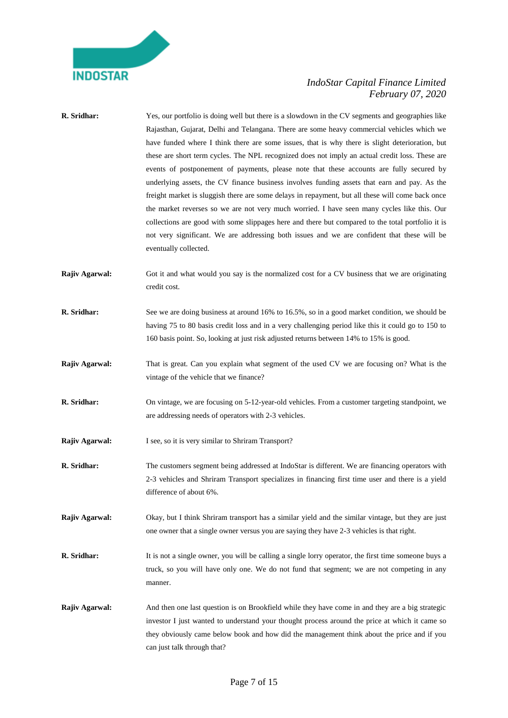

| R. Sridhar:    | Yes, our portfolio is doing well but there is a slowdown in the CV segments and geographies like<br>Rajasthan, Gujarat, Delhi and Telangana. There are some heavy commercial vehicles which we<br>have funded where I think there are some issues, that is why there is slight deterioration, but<br>these are short term cycles. The NPL recognized does not imply an actual credit loss. These are<br>events of postponement of payments, please note that these accounts are fully secured by<br>underlying assets, the CV finance business involves funding assets that earn and pay. As the<br>freight market is sluggish there are some delays in repayment, but all these will come back once<br>the market reverses so we are not very much worried. I have seen many cycles like this. Our<br>collections are good with some slippages here and there but compared to the total portfolio it is<br>not very significant. We are addressing both issues and we are confident that these will be<br>eventually collected. |
|----------------|----------------------------------------------------------------------------------------------------------------------------------------------------------------------------------------------------------------------------------------------------------------------------------------------------------------------------------------------------------------------------------------------------------------------------------------------------------------------------------------------------------------------------------------------------------------------------------------------------------------------------------------------------------------------------------------------------------------------------------------------------------------------------------------------------------------------------------------------------------------------------------------------------------------------------------------------------------------------------------------------------------------------------------|
| Rajiv Agarwal: | Got it and what would you say is the normalized cost for a CV business that we are originating<br>credit cost.                                                                                                                                                                                                                                                                                                                                                                                                                                                                                                                                                                                                                                                                                                                                                                                                                                                                                                                   |
| R. Sridhar:    | See we are doing business at around 16% to 16.5%, so in a good market condition, we should be<br>having 75 to 80 basis credit loss and in a very challenging period like this it could go to 150 to<br>160 basis point. So, looking at just risk adjusted returns between 14% to 15% is good.                                                                                                                                                                                                                                                                                                                                                                                                                                                                                                                                                                                                                                                                                                                                    |
| Rajiv Agarwal: | That is great. Can you explain what segment of the used CV we are focusing on? What is the<br>vintage of the vehicle that we finance?                                                                                                                                                                                                                                                                                                                                                                                                                                                                                                                                                                                                                                                                                                                                                                                                                                                                                            |
| R. Sridhar:    | On vintage, we are focusing on 5-12-year-old vehicles. From a customer targeting standpoint, we<br>are addressing needs of operators with 2-3 vehicles.                                                                                                                                                                                                                                                                                                                                                                                                                                                                                                                                                                                                                                                                                                                                                                                                                                                                          |
| Rajiv Agarwal: | I see, so it is very similar to Shriram Transport?                                                                                                                                                                                                                                                                                                                                                                                                                                                                                                                                                                                                                                                                                                                                                                                                                                                                                                                                                                               |
| R. Sridhar:    | The customers segment being addressed at IndoStar is different. We are financing operators with<br>2-3 vehicles and Shriram Transport specializes in financing first time user and there is a yield<br>difference of about 6%.                                                                                                                                                                                                                                                                                                                                                                                                                                                                                                                                                                                                                                                                                                                                                                                                   |
| Rajiv Agarwal: | Okay, but I think Shriram transport has a similar yield and the similar vintage, but they are just<br>one owner that a single owner versus you are saying they have 2-3 vehicles is that right.                                                                                                                                                                                                                                                                                                                                                                                                                                                                                                                                                                                                                                                                                                                                                                                                                                  |
| R. Sridhar:    | It is not a single owner, you will be calling a single lorry operator, the first time someone buys a<br>truck, so you will have only one. We do not fund that segment; we are not competing in any<br>manner.                                                                                                                                                                                                                                                                                                                                                                                                                                                                                                                                                                                                                                                                                                                                                                                                                    |
| Rajiv Agarwal: | And then one last question is on Brookfield while they have come in and they are a big strategic<br>investor I just wanted to understand your thought process around the price at which it came so<br>they obviously came below book and how did the management think about the price and if you<br>can just talk through that?                                                                                                                                                                                                                                                                                                                                                                                                                                                                                                                                                                                                                                                                                                  |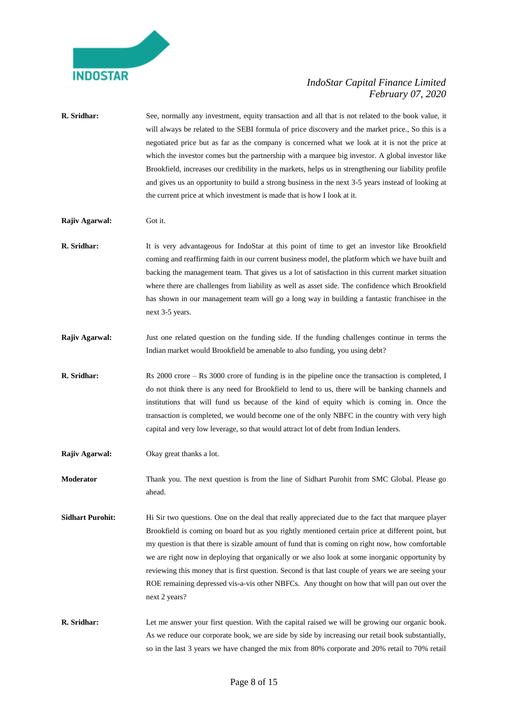

- **R. Sridhar:** See, normally any investment, equity transaction and all that is not related to the book value, it will always be related to the SEBI formula of price discovery and the market price., So this is a negotiated price but as far as the company is concerned what we look at it is not the price at which the investor comes but the partnership with a marquee big investor. A global investor like Brookfield, increases our credibility in the markets, helps us in strengthening our liability profile and gives us an opportunity to build a strong business in the next 3-5 years instead of looking at the current price at which investment is made that is how I look at it. **Rajiv Agarwal:** Got it. **R. Sridhar:** It is very advantageous for IndoStar at this point of time to get an investor like Brookfield coming and reaffirming faith in our current business model, the platform which we have built and backing the management team. That gives us a lot of satisfaction in this current market situation where there are challenges from liability as well as asset side. The confidence which Brookfield has shown in our management team will go a long way in building a fantastic franchisee in the next 3-5 years. **Rajiv Agarwal:** Just one related question on the funding side. If the funding challenges continue in terms the Indian market would Brookfield be amenable to also funding, you using debt? **R. Sridhar:** Rs 2000 crore – Rs 3000 crore of funding is in the pipeline once the transaction is completed, I do not think there is any need for Brookfield to lend to us, there will be banking channels and institutions that will fund us because of the kind of equity which is coming in. Once the transaction is completed, we would become one of the only NBFC in the country with very high capital and very low leverage, so that would attract lot of debt from Indian lenders. **Rajiv Agarwal:** Okay great thanks a lot. **Moderator** Thank you. The next question is from the line of Sidhart Purohit from SMC Global. Please go ahead. **Sidhart Purohit:** Hi Sir two questions. One on the deal that really appreciated due to the fact that marquee player Brookfield is coming on board but as you rightly mentioned certain price at different point, but my question is that there is sizable amount of fund that is coming on right now, how comfortable we are right now in deploying that organically or we also look at some inorganic opportunity by reviewing this money that is first question. Second is that last couple of years we are seeing your ROE remaining depressed vis-a-vis other NBFCs. Any thought on how that will pan out over the
- **R. Sridhar:** Let me answer your first question. With the capital raised we will be growing our organic book. As we reduce our corporate book, we are side by side by increasing our retail book substantially, so in the last 3 years we have changed the mix from 80% corporate and 20% retail to 70% retail

next 2 years?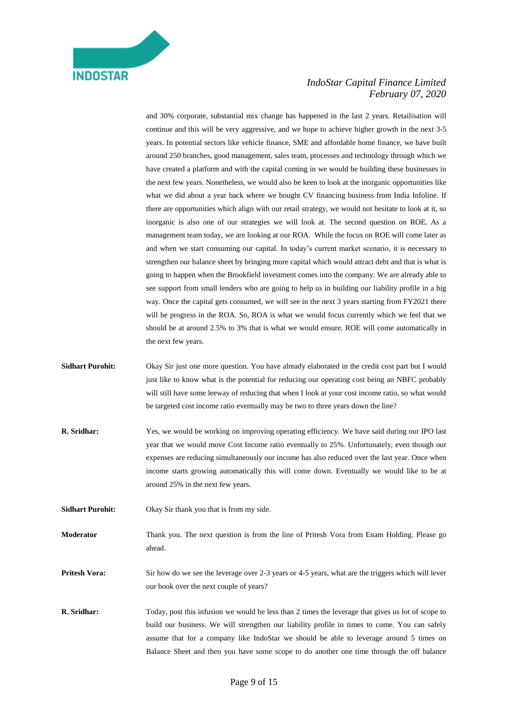and 30% corporate, substantial mix change has happened in the last 2 years. Retailisation will continue and this will be very aggressive, and we hope to achieve higher growth in the next 3-5 years. In potential sectors like vehicle finance, SME and affordable home finance, we have built around 250 branches, good management, sales team, processes and technology through which we have created a platform and with the capital coming in we would be building these businesses in the next few years. Nonetheless, we would also be keen to look at the inorganic opportunities like what we did about a year back where we bought CV financing business from India Infoline. If there are opportunities which align with our retail strategy, we would not hesitate to look at it, so inorganic is also one of our strategies we will look at. The second question on ROE. As a management team today, we are looking at our ROA. While the focus on ROE will come later as and when we start consuming our capital. In today's current market scenario, it is necessary to strengthen our balance sheet by bringing more capital which would attract debt and that is what is going to happen when the Brookfield investment comes into the company. We are already able to see support from small lenders who are going to help us in building our liability profile in a big way. Once the capital gets consumed, we will see in the next 3 years starting from FY2021 there will be progress in the ROA. So, ROA is what we would focus currently which we feel that we should be at around 2.5% to 3% that is what we would ensure. ROE will come automatically in the next few years.

- **Sidhart Purohit:** Okay Sir just one more question. You have already elaborated in the credit cost part but I would just like to know what is the potential for reducing our operating cost being an NBFC probably will still have some leeway of reducing that when I look at your cost income ratio, so what would be targeted cost income ratio eventually may be two to three years down the line?
- **R. Sridhar:** Yes, we would be working on improving operating efficiency. We have said during our IPO last year that we would move Cost Income ratio eventually to 25%. Unfortunately, even though our expenses are reducing simultaneously our income has also reduced over the last year. Once when income starts growing automatically this will come down. Eventually we would like to be at around 25% in the next few years.
- **Sidhart Purohit:** Okay Sir thank you that is from my side.
- **Moderator** Thank you. The next question is from the line of Pritesh Vora from Enam Holding. Please go ahead.

**Pritesh Vora:** Sir how do we see the leverage over 2-3 years or 4-5 years, what are the triggers which will lever our book over the next couple of years?

**R. Sridhar:** Today, post this infusion we would be less than 2 times the leverage that gives us lot of scope to build our business. We will strengthen our liability profile in times to come. You can safely assume that for a company like IndoStar we should be able to leverage around 5 times on Balance Sheet and then you have some scope to do another one time through the off balance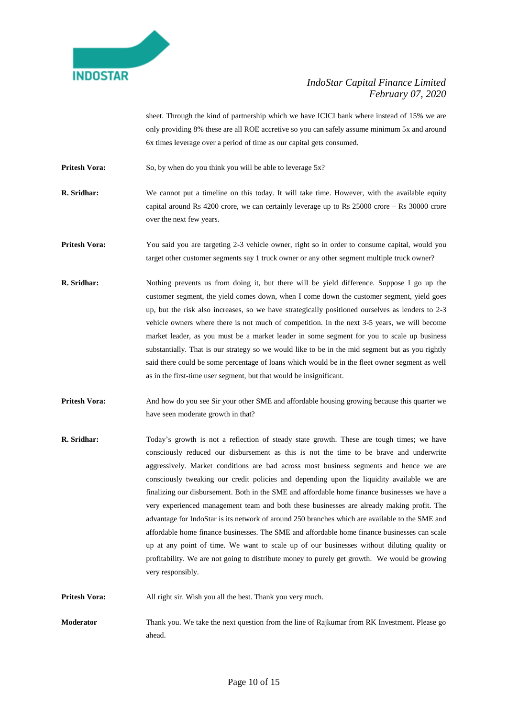

sheet. Through the kind of partnership which we have ICICI bank where instead of 15% we are only providing 8% these are all ROE accretive so you can safely assume minimum 5x and around 6x times leverage over a period of time as our capital gets consumed.

**Pritesh Vora:** So, by when do you think you will be able to leverage 5x?

**R. Sridhar:** We cannot put a timeline on this today. It will take time. However, with the available equity capital around Rs 4200 crore, we can certainly leverage up to Rs  $25000$  crore – Rs 30000 crore over the next few years.

**Pritesh Vora:** You said you are targeting 2-3 vehicle owner, right so in order to consume capital, would you target other customer segments say 1 truck owner or any other segment multiple truck owner?

- **R. Sridhar:** Nothing prevents us from doing it, but there will be yield difference. Suppose I go up the customer segment, the yield comes down, when I come down the customer segment, yield goes up, but the risk also increases, so we have strategically positioned ourselves as lenders to 2-3 vehicle owners where there is not much of competition. In the next 3-5 years, we will become market leader, as you must be a market leader in some segment for you to scale up business substantially. That is our strategy so we would like to be in the mid segment but as you rightly said there could be some percentage of loans which would be in the fleet owner segment as well as in the first-time user segment, but that would be insignificant.
- **Pritesh Vora:** And how do you see Sir your other SME and affordable housing growing because this quarter we have seen moderate growth in that?
- **R. Sridhar:** Today's growth is not a reflection of steady state growth. These are tough times; we have consciously reduced our disbursement as this is not the time to be brave and underwrite aggressively. Market conditions are bad across most business segments and hence we are consciously tweaking our credit policies and depending upon the liquidity available we are finalizing our disbursement. Both in the SME and affordable home finance businesses we have a very experienced management team and both these businesses are already making profit. The advantage for IndoStar is its network of around 250 branches which are available to the SME and affordable home finance businesses. The SME and affordable home finance businesses can scale up at any point of time. We want to scale up of our businesses without diluting quality or profitability. We are not going to distribute money to purely get growth. We would be growing very responsibly.

**Pritesh Vora:** All right sir. Wish you all the best. Thank you very much.

**Moderator** Thank you. We take the next question from the line of Rajkumar from RK Investment. Please go ahead.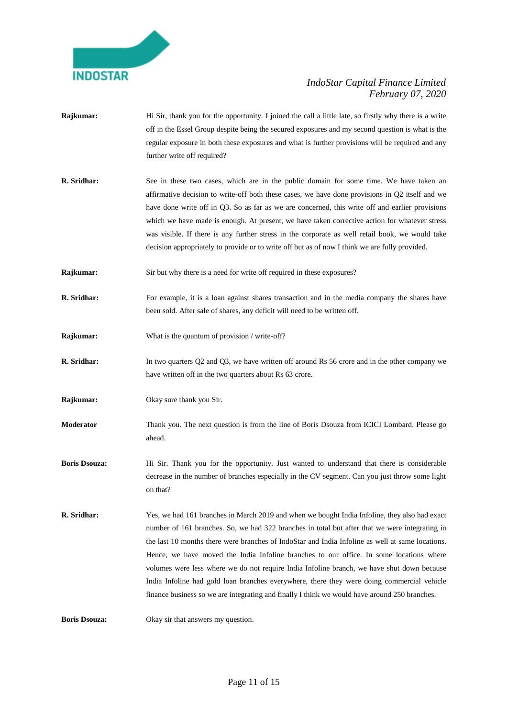

- **Rajkumar:** Hi Sir, thank you for the opportunity. I joined the call a little late, so firstly why there is a write off in the Essel Group despite being the secured exposures and my second question is what is the regular exposure in both these exposures and what is further provisions will be required and any further write off required?
- **R. Sridhar:** See in these two cases, which are in the public domain for some time. We have taken an affirmative decision to write-off both these cases, we have done provisions in Q2 itself and we have done write off in Q3. So as far as we are concerned, this write off and earlier provisions which we have made is enough. At present, we have taken corrective action for whatever stress was visible. If there is any further stress in the corporate as well retail book, we would take decision appropriately to provide or to write off but as of now I think we are fully provided.
- **Rajkumar:** Sir but why there is a need for write off required in these exposures?
- **R. Sridhar:** For example, it is a loan against shares transaction and in the media company the shares have been sold. After sale of shares, any deficit will need to be written off.
- **Rajkumar:** What is the quantum of provision / write-off?
- **R. Sridhar:** In two quarters Q2 and Q3, we have written off around Rs 56 crore and in the other company we have written off in the two quarters about Rs 63 crore.
- **Rajkumar:** Okay sure thank you Sir.
- **Moderator** Thank you. The next question is from the line of Boris Dsouza from ICICI Lombard. Please go ahead.
- **Boris Dsouza:** Hi Sir. Thank you for the opportunity. Just wanted to understand that there is considerable decrease in the number of branches especially in the CV segment. Can you just throw some light on that?
- **R. Sridhar:** Yes, we had 161 branches in March 2019 and when we bought India Infoline, they also had exact number of 161 branches. So, we had 322 branches in total but after that we were integrating in the last 10 months there were branches of IndoStar and India Infoline as well at same locations. Hence, we have moved the India Infoline branches to our office. In some locations where volumes were less where we do not require India Infoline branch, we have shut down because India Infoline had gold loan branches everywhere, there they were doing commercial vehicle finance business so we are integrating and finally I think we would have around 250 branches.

**Boris Dsouza:** Okay sir that answers my question.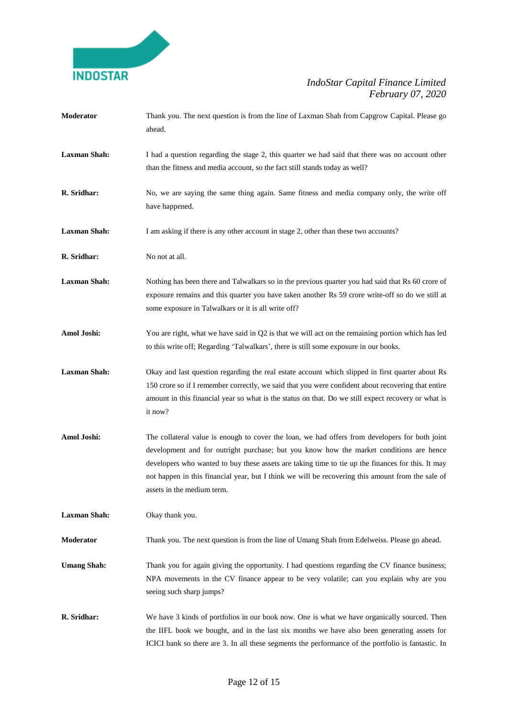

| Moderator           | Thank you. The next question is from the line of Laxman Shah from Capgrow Capital. Please go<br>ahead.                                                                                                                                                                                                                                                                                                                            |
|---------------------|-----------------------------------------------------------------------------------------------------------------------------------------------------------------------------------------------------------------------------------------------------------------------------------------------------------------------------------------------------------------------------------------------------------------------------------|
| <b>Laxman Shah:</b> | I had a question regarding the stage 2, this quarter we had said that there was no account other<br>than the fitness and media account, so the fact still stands today as well?                                                                                                                                                                                                                                                   |
| R. Sridhar:         | No, we are saying the same thing again. Same fitness and media company only, the write off<br>have happened.                                                                                                                                                                                                                                                                                                                      |
| <b>Laxman Shah:</b> | I am asking if there is any other account in stage 2, other than these two accounts?                                                                                                                                                                                                                                                                                                                                              |
| R. Sridhar:         | No not at all.                                                                                                                                                                                                                                                                                                                                                                                                                    |
| <b>Laxman Shah:</b> | Nothing has been there and Talwalkars so in the previous quarter you had said that Rs 60 crore of<br>exposure remains and this quarter you have taken another Rs 59 crore write-off so do we still at<br>some exposure in Talwalkars or it is all write off?                                                                                                                                                                      |
| Amol Joshi:         | You are right, what we have said in Q2 is that we will act on the remaining portion which has led<br>to this write off; Regarding 'Talwalkars', there is still some exposure in our books.                                                                                                                                                                                                                                        |
| <b>Laxman Shah:</b> | Okay and last question regarding the real estate account which slipped in first quarter about Rs<br>150 crore so if I remember correctly, we said that you were confident about recovering that entire<br>amount in this financial year so what is the status on that. Do we still expect recovery or what is<br>it now?                                                                                                          |
| Amol Joshi:         | The collateral value is enough to cover the loan, we had offers from developers for both joint<br>development and for outright purchase; but you know how the market conditions are hence<br>developers who wanted to buy these assets are taking time to tie up the finances for this. It may<br>not happen in this financial year, but I think we will be recovering this amount from the sale of<br>assets in the medium term. |
| <b>Laxman Shah:</b> | Okay thank you.                                                                                                                                                                                                                                                                                                                                                                                                                   |
| Moderator           | Thank you. The next question is from the line of Umang Shah from Edelweiss. Please go ahead.                                                                                                                                                                                                                                                                                                                                      |
| <b>Umang Shah:</b>  | Thank you for again giving the opportunity. I had questions regarding the CV finance business;<br>NPA movements in the CV finance appear to be very volatile; can you explain why are you<br>seeing such sharp jumps?                                                                                                                                                                                                             |
| R. Sridhar:         | We have 3 kinds of portfolios in our book now. One is what we have organically sourced. Then<br>the IIFL book we bought, and in the last six months we have also been generating assets for<br>ICICI bank so there are 3. In all these segments the performance of the portfolio is fantastic. In                                                                                                                                 |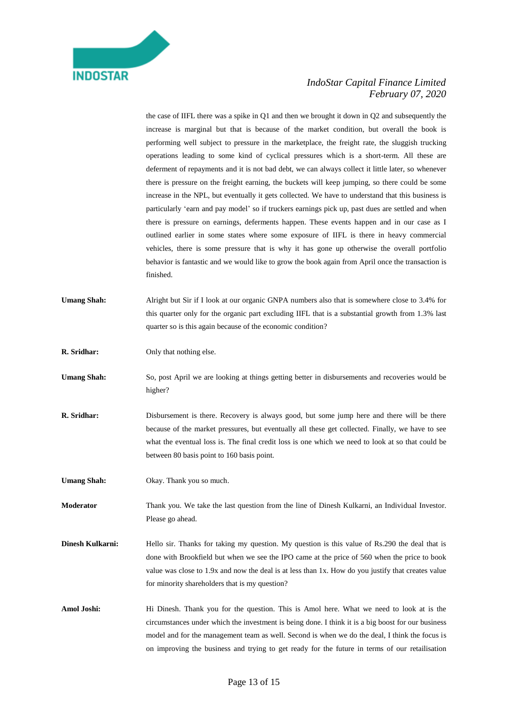

the case of IIFL there was a spike in Q1 and then we brought it down in Q2 and subsequently the increase is marginal but that is because of the market condition, but overall the book is performing well subject to pressure in the marketplace, the freight rate, the sluggish trucking operations leading to some kind of cyclical pressures which is a short-term. All these are deferment of repayments and it is not bad debt, we can always collect it little later, so whenever there is pressure on the freight earning, the buckets will keep jumping, so there could be some increase in the NPL, but eventually it gets collected. We have to understand that this business is particularly 'earn and pay model' so if truckers earnings pick up, past dues are settled and when there is pressure on earnings, deferments happen. These events happen and in our case as I outlined earlier in some states where some exposure of IIFL is there in heavy commercial vehicles, there is some pressure that is why it has gone up otherwise the overall portfolio behavior is fantastic and we would like to grow the book again from April once the transaction is finished.

- Umang Shah: Alright but Sir if I look at our organic GNPA numbers also that is somewhere close to 3.4% for this quarter only for the organic part excluding IIFL that is a substantial growth from 1.3% last quarter so is this again because of the economic condition?
- **R. Sridhar:** Only that nothing else.
- Umang Shah: So, post April we are looking at things getting better in disbursements and recoveries would be higher?
- **R. Sridhar:** Disbursement is there. Recovery is always good, but some jump here and there will be there because of the market pressures, but eventually all these get collected. Finally, we have to see what the eventual loss is. The final credit loss is one which we need to look at so that could be between 80 basis point to 160 basis point.
- **Umang Shah:** Okay. Thank you so much.
- **Moderator** Thank you. We take the last question from the line of Dinesh Kulkarni, an Individual Investor. Please go ahead.
- **Dinesh Kulkarni:** Hello sir. Thanks for taking my question. My question is this value of Rs.290 the deal that is done with Brookfield but when we see the IPO came at the price of 560 when the price to book value was close to 1.9x and now the deal is at less than 1x. How do you justify that creates value for minority shareholders that is my question?
- **Amol Joshi:** Hi Dinesh. Thank you for the question. This is Amol here. What we need to look at is the circumstances under which the investment is being done. I think it is a big boost for our business model and for the management team as well. Second is when we do the deal, I think the focus is on improving the business and trying to get ready for the future in terms of our retailisation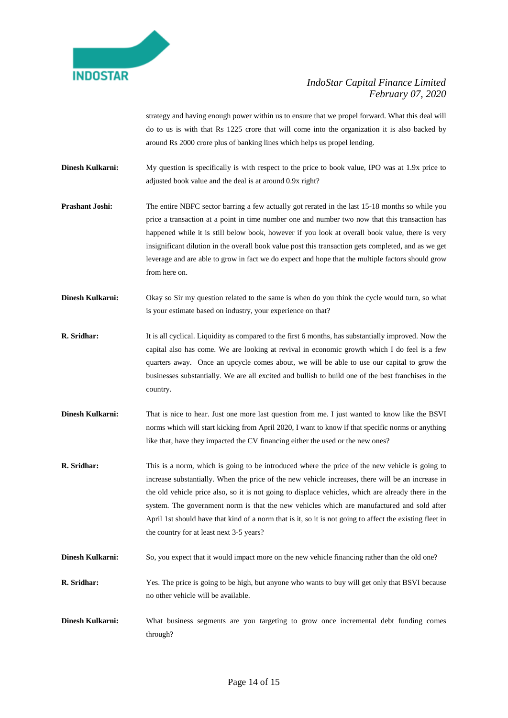

strategy and having enough power within us to ensure that we propel forward. What this deal will do to us is with that Rs 1225 crore that will come into the organization it is also backed by around Rs 2000 crore plus of banking lines which helps us propel lending.

- **Dinesh Kulkarni:** My question is specifically is with respect to the price to book value, IPO was at 1.9x price to adjusted book value and the deal is at around 0.9x right?
- **Prashant Joshi:** The entire NBFC sector barring a few actually got rerated in the last 15-18 months so while you price a transaction at a point in time number one and number two now that this transaction has happened while it is still below book, however if you look at overall book value, there is very insignificant dilution in the overall book value post this transaction gets completed, and as we get leverage and are able to grow in fact we do expect and hope that the multiple factors should grow from here on.
- **Dinesh Kulkarni:** Okay so Sir my question related to the same is when do you think the cycle would turn, so what is your estimate based on industry, your experience on that?
- **R. Sridhar:** It is all cyclical. Liquidity as compared to the first 6 months, has substantially improved. Now the capital also has come. We are looking at revival in economic growth which I do feel is a few quarters away. Once an upcycle comes about, we will be able to use our capital to grow the businesses substantially. We are all excited and bullish to build one of the best franchises in the country.
- **Dinesh Kulkarni:** That is nice to hear. Just one more last question from me. I just wanted to know like the BSVI norms which will start kicking from April 2020, I want to know if that specific norms or anything like that, have they impacted the CV financing either the used or the new ones?
- **R. Sridhar:** This is a norm, which is going to be introduced where the price of the new vehicle is going to increase substantially. When the price of the new vehicle increases, there will be an increase in the old vehicle price also, so it is not going to displace vehicles, which are already there in the system. The government norm is that the new vehicles which are manufactured and sold after April 1st should have that kind of a norm that is it, so it is not going to affect the existing fleet in the country for at least next 3-5 years?
- **Dinesh Kulkarni:** So, you expect that it would impact more on the new vehicle financing rather than the old one?
- **R. Sridhar:** Yes. The price is going to be high, but anyone who wants to buy will get only that BSVI because no other vehicle will be available.
- **Dinesh Kulkarni:** What business segments are you targeting to grow once incremental debt funding comes through?